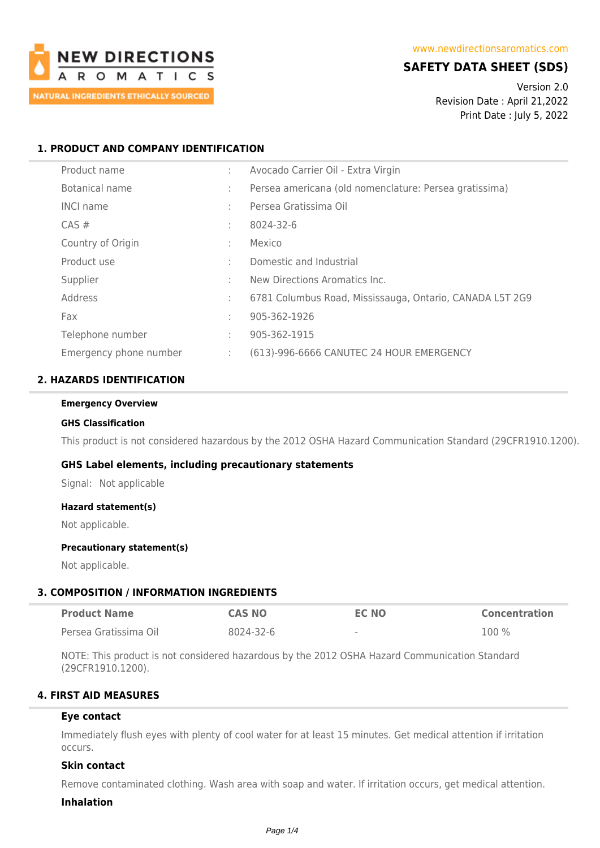

# **SAFETY DATA SHEET (SDS)**

Version 2.0 Revision Date : April 21,2022 Print Date : July 5, 2022

# **1. PRODUCT AND COMPANY IDENTIFICATION**

| Product name           | ÷            | Avocado Carrier Oil - Extra Virgin                       |
|------------------------|--------------|----------------------------------------------------------|
| Botanical name         | ÷            | Persea americana (old nomenclature: Persea gratissima)   |
| <b>INCI name</b>       | $\sim$       | Persea Gratissima Oil                                    |
| $CAS \#$               | ÷            | 8024-32-6                                                |
| Country of Origin      | ÷            | Mexico                                                   |
| Product use            | $\mathbf{r}$ | Domestic and Industrial                                  |
| Supplier               | ٠            | New Directions Aromatics Inc.                            |
| Address                | ÷            | 6781 Columbus Road, Mississauga, Ontario, CANADA L5T 2G9 |
| Fax                    | ÷            | 905-362-1926                                             |
| Telephone number       | ÷            | 905-362-1915                                             |
| Emergency phone number | ÷            | (613)-996-6666 CANUTEC 24 HOUR EMERGENCY                 |

# **2. HAZARDS IDENTIFICATION**

#### **Emergency Overview**

#### **GHS Classification**

This product is not considered hazardous by the 2012 OSHA Hazard Communication Standard (29CFR1910.1200).

## **GHS Label elements, including precautionary statements**

Signal: Not applicable

#### **Hazard statement(s)**

Not applicable.

#### **Precautionary statement(s)**

Not applicable.

## **3. COMPOSITION / INFORMATION INGREDIENTS**

| <b>Product Name</b>   | <b>CAS NO</b> | <b>EC NO</b>             | <b>Concentration</b> |
|-----------------------|---------------|--------------------------|----------------------|
| Persea Gratissima Oil | 8024-32-6     | $\overline{\phantom{a}}$ | $100\%$              |

NOTE: This product is not considered hazardous by the 2012 OSHA Hazard Communication Standard (29CFR1910.1200).

## **4. FIRST AID MEASURES**

#### **Eye contact**

Immediately flush eyes with plenty of cool water for at least 15 minutes. Get medical attention if irritation occurs.

## **Skin contact**

Remove contaminated clothing. Wash area with soap and water. If irritation occurs, get medical attention.

#### **Inhalation**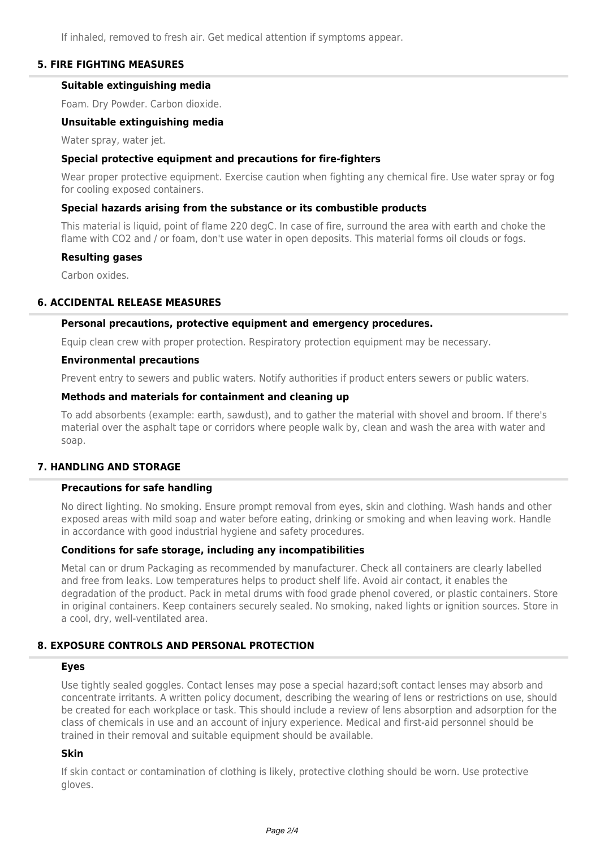If inhaled, removed to fresh air. Get medical attention if symptoms appear.

# **5. FIRE FIGHTING MEASURES**

## **Suitable extinguishing media**

Foam. Dry Powder. Carbon dioxide.

#### **Unsuitable extinguishing media**

Water spray, water jet.

### **Special protective equipment and precautions for fire-fighters**

Wear proper protective equipment. Exercise caution when fighting any chemical fire. Use water spray or fog for cooling exposed containers.

### **Special hazards arising from the substance or its combustible products**

This material is liquid, point of flame 220 degC. In case of fire, surround the area with earth and choke the flame with CO2 and / or foam, don't use water in open deposits. This material forms oil clouds or fogs.

#### **Resulting gases**

Carbon oxides.

## **6. ACCIDENTAL RELEASE MEASURES**

#### **Personal precautions, protective equipment and emergency procedures.**

Equip clean crew with proper protection. Respiratory protection equipment may be necessary.

#### **Environmental precautions**

Prevent entry to sewers and public waters. Notify authorities if product enters sewers or public waters.

#### **Methods and materials for containment and cleaning up**

To add absorbents (example: earth, sawdust), and to gather the material with shovel and broom. If there's material over the asphalt tape or corridors where people walk by, clean and wash the area with water and soap.

## **7. HANDLING AND STORAGE**

#### **Precautions for safe handling**

No direct lighting. No smoking. Ensure prompt removal from eyes, skin and clothing. Wash hands and other exposed areas with mild soap and water before eating, drinking or smoking and when leaving work. Handle in accordance with good industrial hygiene and safety procedures.

## **Conditions for safe storage, including any incompatibilities**

Metal can or drum Packaging as recommended by manufacturer. Check all containers are clearly labelled and free from leaks. Low temperatures helps to product shelf life. Avoid air contact, it enables the degradation of the product. Pack in metal drums with food grade phenol covered, or plastic containers. Store in original containers. Keep containers securely sealed. No smoking, naked lights or ignition sources. Store in a cool, dry, well-ventilated area.

# **8. EXPOSURE CONTROLS AND PERSONAL PROTECTION**

#### **Eyes**

Use tightly sealed goggles. Contact lenses may pose a special hazard;soft contact lenses may absorb and concentrate irritants. A written policy document, describing the wearing of lens or restrictions on use, should be created for each workplace or task. This should include a review of lens absorption and adsorption for the class of chemicals in use and an account of injury experience. Medical and first-aid personnel should be trained in their removal and suitable equipment should be available.

# **Skin**

If skin contact or contamination of clothing is likely, protective clothing should be worn. Use protective gloves.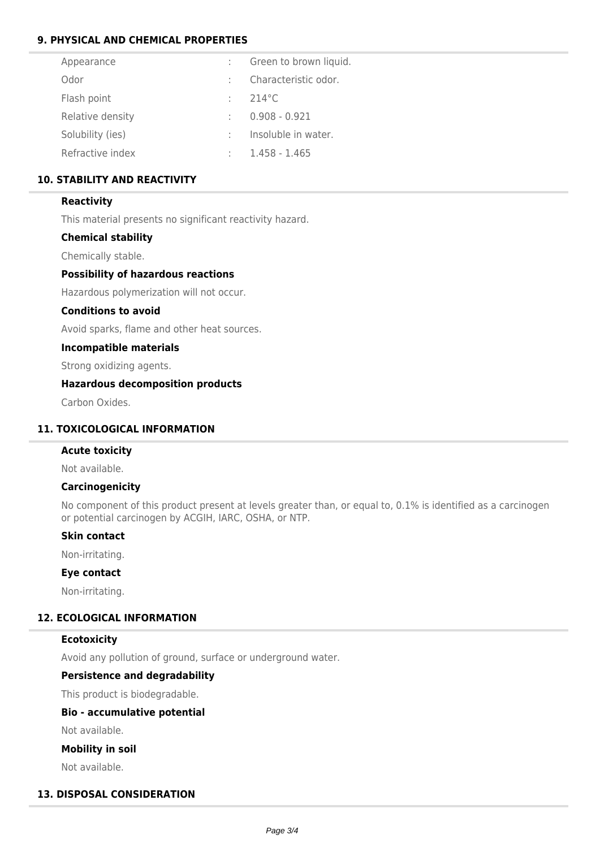# **9. PHYSICAL AND CHEMICAL PROPERTIES**

| Appearance       | Green to brown liquid. |
|------------------|------------------------|
| Odor             | Characteristic odor.   |
| Flash point      | $214^{\circ}$ C        |
| Relative density | $0.908 - 0.921$        |
| Solubility (ies) | Insoluble in water.    |
| Refractive index | 1.458 - 1.465          |

# **10. STABILITY AND REACTIVITY**

### **Reactivity**

This material presents no significant reactivity hazard.

## **Chemical stability**

Chemically stable.

#### **Possibility of hazardous reactions**

Hazardous polymerization will not occur.

#### **Conditions to avoid**

Avoid sparks, flame and other heat sources.

### **Incompatible materials**

Strong oxidizing agents.

### **Hazardous decomposition products**

Carbon Oxides.

# **11. TOXICOLOGICAL INFORMATION**

# **Acute toxicity**

Not available.

### **Carcinogenicity**

No component of this product present at levels greater than, or equal to, 0.1% is identified as a carcinogen or potential carcinogen by ACGIH, IARC, OSHA, or NTP.

## **Skin contact**

Non-irritating.

# **Eye contact**

Non-irritating.

# **12. ECOLOGICAL INFORMATION**

#### **Ecotoxicity**

Avoid any pollution of ground, surface or underground water.

## **Persistence and degradability**

This product is biodegradable.

## **Bio - accumulative potential**

Not available.

#### **Mobility in soil**

Not available.

# **13. DISPOSAL CONSIDERATION**